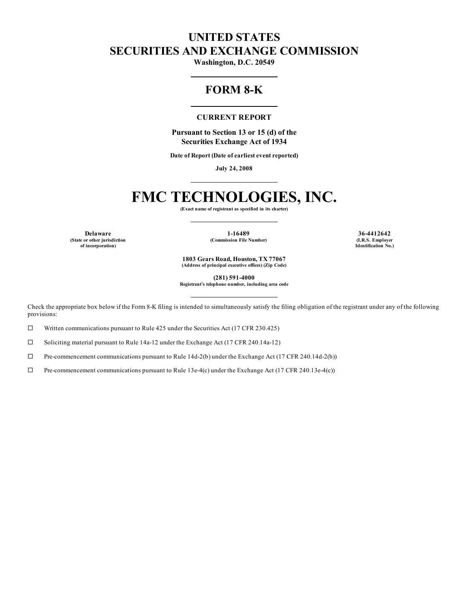# **UNITED STATES SECURITIES AND EXCHANGE COMMISSION**

**Washington, D.C. 20549**

# **FORM 8-K**

#### **CURRENT REPORT**

**Pursuant to Section 13 or 15 (d) of the Securities Exchange Act of 1934**

**Date of Report (Date of earliest event reported)**

**July 24, 2008**

# **FMC TECHNOLOGIES, INC.**

**(Exact name of registrant as specified in its charter)**

**(State or other jurisdiction of incorporation)**

**Delaware 1-16489 36-4412642 (Commission File Number) (I.R.S. Employer**

**Identification No.)**

**1803 Gears Road, Houston, TX 77067 (Address of principal executive offices) (Zip Code)**

**(281) 591-4000**

**Registrant's telephone number, including area code**

Check the appropriate box below if the Form 8-K filing is intended to simultaneously satisfy the filing obligation of the registrant under any of the following provisions:

 $\Box$  Written communications pursuant to Rule 425 under the Securities Act (17 CFR 230.425)

 $\square$  Soliciting material pursuant to Rule 14a-12 under the Exchange Act (17 CFR 240.14a-12)

 $\Box$  Pre-commencement communications pursuant to Rule 14d-2(b) under the Exchange Act (17 CFR 240.14d-2(b))

 $\Box$  Pre-commencement communications pursuant to Rule 13e-4(c) under the Exchange Act (17 CFR 240.13e-4(c))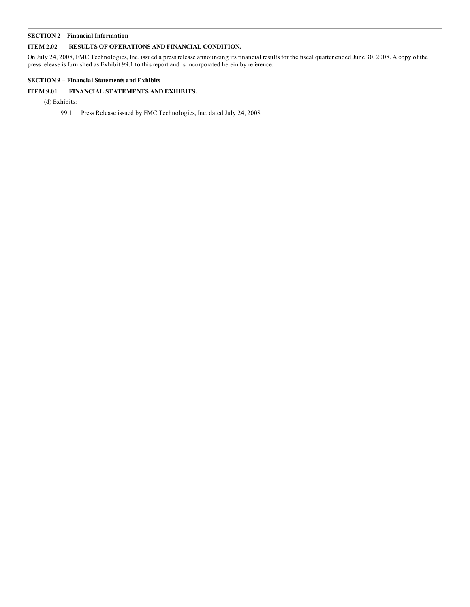#### **SECTION 2 – Financial Information**

# **ITEM 2.02 RESULTS OF OPERATIONS AND FINANCIAL CONDITION.**

On July 24, 2008, FMC Technologies, Inc. issued a press release announcing its financial results for the fiscal quarter ended June 30, 2008. A copy of the press release is furnished as Exhibit 99.1 to this report and is incorporated herein by reference.

# **SECTION 9 – Financial Statements and Exhibits**

# **ITEM 9.01 FINANCIAL STATEMENTS AND EXHIBITS.**

(d) Exhibits:

99.1 Press Release issued by FMC Technologies, Inc. dated July 24, 2008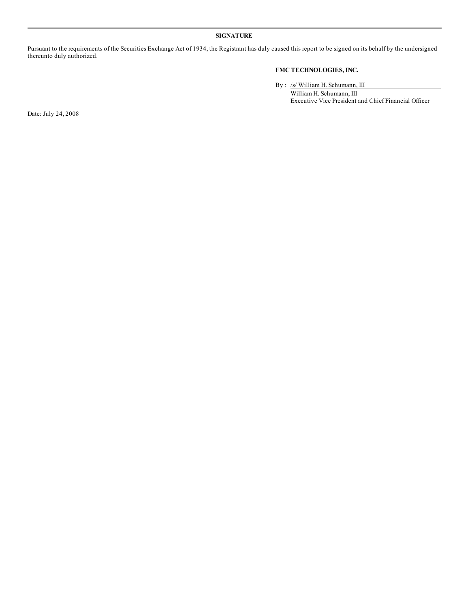# **SIGNATURE**

Pursuant to the requirements of the Securities Exchange Act of 1934, the Registrant has duly caused this report to be signed on its behalf by the undersigned thereunto duly authorized.

# **FMC TECHNOLOGIES, INC.**

By : /s/ William H. Schumann, III William H. Schumann, III Executive Vice President and Chief Financial Officer

Date: July 24, 2008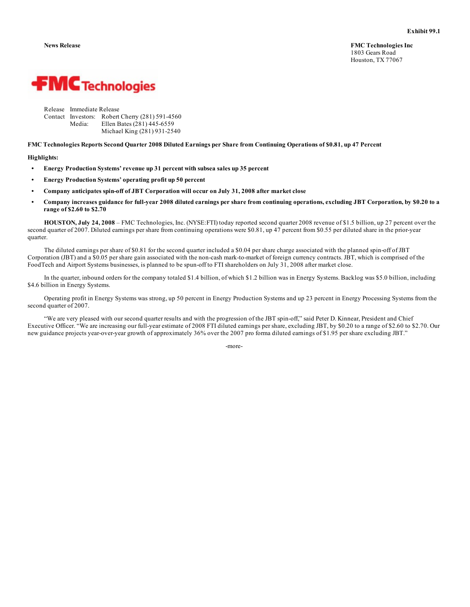**News Release FMC Technologies Inc** 1803 Gears Road Houston, TX 77067



| Release Immediate Release |                                                 |
|---------------------------|-------------------------------------------------|
|                           | Contact Investors: Robert Cherry (281) 591-4560 |
| Media:                    | Ellen Bates (281) 445-6559                      |
|                           | Michael King (281) 931-2540                     |

FMC Technologies Reports Second Quarter 2008 Diluted Earnings per Share from Continuing Operations of \$0.81, up 47 Percent

#### **Highlights:**

- **• Energy Production Systems' revenue up 31 percent with subsea sales up 35 percent**
- **• Energy Production Systems' operating profit up 50 percent**
- **• Company anticipates spin-off of JBT Corporation will occur on July 31, 2008 after market close**
- Company increases guidance for full-year 2008 diluted earnings per share from continuing operations, excluding JBT Corporation, by \$0.20 to a **range of \$2.60 to \$2.70**

**HOUSTON, July 24, 2008** – FMC Technologies, Inc. (NYSE:FTI) today reported second quarter 2008 revenue of \$1.5 billion, up 27 percent over the second quarter of 2007. Diluted earnings per share from continuing operations were \$0.81, up 47 percent from \$0.55 per diluted share in the prior-year quarter.

The diluted earnings per share of \$0.81 for the second quarter included a \$0.04 per share charge associated with the planned spin-off of JBT Corporation (JBT) and a \$0.05 per share gain associated with the non-cash mark-to-market of foreign currency contracts. JBT, which is comprised of the FoodTech and Airport Systems businesses, is planned to be spun-off to FTI shareholders on July 31, 2008 after market close.

In the quarter, inbound orders for the company totaled \$1.4 billion, of which \$1.2 billion was in Energy Systems. Backlog was \$5.0 billion, including \$4.6 billion in Energy Systems.

Operating profit in Energy Systems was strong, up 50 percent in Energy Production Systems and up 23 percent in Energy Processing Systems from the second quarter of 2007.

"We are very pleased with our second quarter results and with the progression of the JBT spin-off," said Peter D. Kinnear, President and Chief Executive Officer. "We are increasing our full-year estimate of 2008 FTI diluted earnings per share, excluding JBT, by \$0.20 to a range of \$2.60 to \$2.70. Our new guidance projects year-over-year growth of approximately 36% over the 2007 pro forma diluted earnings of \$1.95 per share excluding JBT."

-more-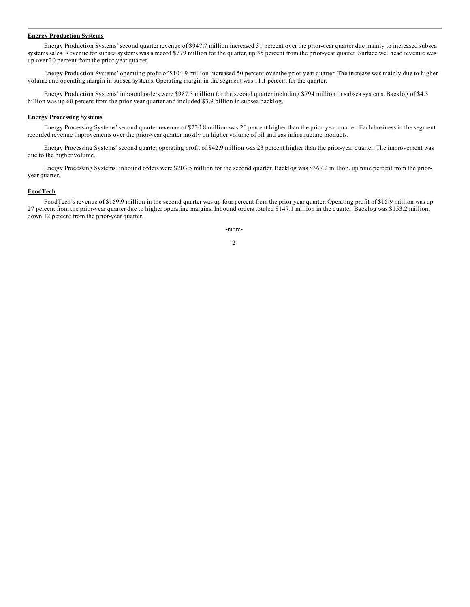#### **Energy Production Systems**

Energy Production Systems' second quarter revenue of \$947.7 million increased 31 percent over the prior-year quarter due mainly to increased subsea systems sales. Revenue for subsea systems was a record \$779 million for the quarter, up 35 percent from the prior-year quarter. Surface wellhead revenue was up over 20 percent from the prior-year quarter.

Energy Production Systems' operating profit of \$104.9 million increased 50 percent over the prior-year quarter. The increase was mainly due to higher volume and operating margin in subsea systems. Operating margin in the segment was 11.1 percent for the quarter.

Energy Production Systems' inbound orders were \$987.3 million for the second quarter including \$794 million in subsea systems. Backlog of \$4.3 billion was up 60 percent from the prior-year quarter and included \$3.9 billion in subsea backlog.

#### **Energy Processing Systems**

Energy Processing Systems' second quarter revenue of \$220.8 million was 20 percent higher than the prior-year quarter. Each business in the segment recorded revenue improvements over the prior-year quarter mostly on higher volume of oil and gas infrastructure products.

Energy Processing Systems' second quarter operating profit of \$42.9 million was 23 percent higher than the prior-year quarter. The improvement was due to the higher volume.

Energy Processing Systems' inbound orders were \$203.5 million for the second quarter. Backlog was \$367.2 million, up nine percent from the prioryear quarter.

#### **FoodTech**

FoodTech's revenue of \$159.9 million in the second quarter was up four percent from the prior-year quarter. Operating profit of \$15.9 million was up 27 percent from the prior-year quarter due to higher operating margins. Inbound orders totaled \$147.1 million in the quarter. Backlog was \$153.2 million, down 12 percent from the prior-year quarter.

> -more-2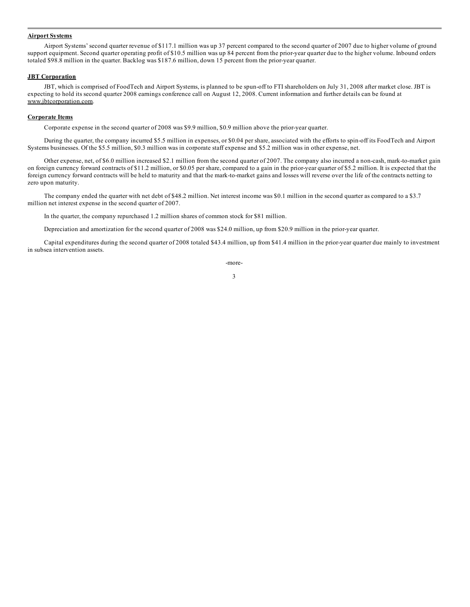#### **Airport Systems**

Airport Systems' second quarter revenue of \$117.1 million was up 37 percent compared to the second quarter of 2007 due to higher volume of ground support equipment. Second quarter operating profit of \$10.5 million was up 84 percent from the prior-year quarter due to the higher volume. Inbound orders totaled \$98.8 million in the quarter. Backlog was \$187.6 million, down 15 percent from the prior-year quarter.

#### **JBT Corporation**

JBT, which is comprised of FoodTech and Airport Systems, is planned to be spun-off to FTI shareholders on July 31, 2008 after market close. JBT is expecting to hold its second quarter 2008 earnings conference call on August 12, 2008. Current information and further details can be found at www.jbtcorporation.com.

## **Corporate Items**

Corporate expense in the second quarter of 2008 was \$9.9 million, \$0.9 million above the prior-year quarter.

During the quarter, the company incurred \$5.5 million in expenses, or \$0.04 per share, associated with the efforts to spin-off its FoodTech and Airport Systems businesses. Of the \$5.5 million, \$0.3 million was in corporate staff expense and \$5.2 million was in other expense, net.

Other expense, net, of \$6.0 million increased \$2.1 million from the second quarter of 2007. The company also incurred a non-cash, mark-to-market gain on foreign currency forward contracts of \$11.2 million, or \$0.05 per share, compared to a gain in the prior-year quarter of \$5.2 million. It is expected that the foreign currency forward contracts will be held to maturity and that the mark-to-market gains and losses will reverse over the life of the contracts netting to zero upon maturity.

The company ended the quarter with net debt of \$48.2 million. Net interest income was \$0.1 million in the second quarter as compared to a \$3.7 million net interest expense in the second quarter of 2007.

In the quarter, the company repurchased 1.2 million shares of common stock for \$81 million.

Depreciation and amortization for the second quarter of 2008 was \$24.0 million, up from \$20.9 million in the prior-year quarter.

Capital expenditures during the second quarter of 2008 totaled \$43.4 million, up from \$41.4 million in the prior-year quarter due mainly to investment in subsea intervention assets.

-more-

3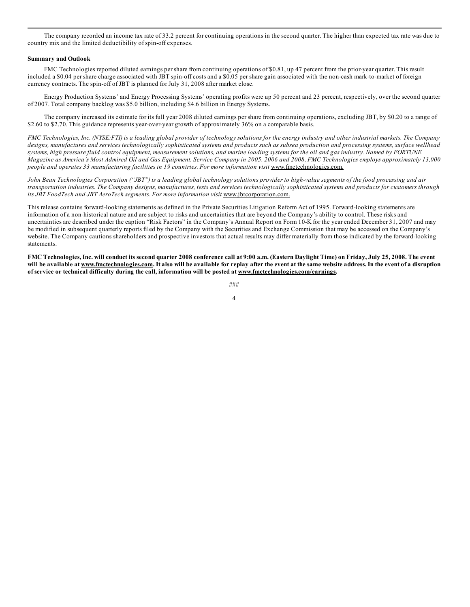The company recorded an income tax rate of 33.2 percent for continuing operations in the second quarter. The higher than expected tax rate was due to country mix and the limited deductibility of spin-off expenses.

#### **Summary and Outlook**

FMC Technologies reported diluted earnings per share from continuing operations of \$0.81, up 47 percent from the prior-year quarter. This result included a \$0.04 per share charge associated with JBT spin-off costs and a \$0.05 per share gain associated with the non-cash mark-to-market of foreign currency contracts. The spin-off of JBT is planned for July 31, 2008 after market close.

Energy Production Systems' and Energy Processing Systems' operating profits were up 50 percent and 23 percent, respectively, over the second quarter of 2007. Total company backlog was \$5.0 billion, including \$4.6 billion in Energy Systems.

The company increased its estimate for its full year 2008 diluted earnings per share from continuing operations, excluding JBT, by \$0.20 to a range of \$2.60 to \$2.70. This guidance represents year-over-year growth of approximately 36% on a comparable basis.

FMC Technologies, Inc. (NYSE:FTI) is a leading global provider of technology solutions for the energy industry and other industrial markets. The Company designs, manufactures and services technologically sophisticated systems and products such as subsea production and processing systems, surface wellhead systems, high pressure fluid control equipment, measurement solutions, and marine loading systems for the oil and gas industry. Named by FORTUNE Magazine as America's Most Admired Oil and Gas Equipment, Service Company in 2005, 2006 and 2008, FMC Technologies employs approximately 13,000 *people and operates 33 manufacturing facilities in 19 countries. For more information visit* www.fmctechnologies.com.

John Bean Technologies Corporation ("JBT") is a leading global technology solutions provider to high-value segments of the food processing and air transportation industries. The Company designs, manufactures, tests and services technologically sophisticated systems and products for customers through *its JBT FoodTech and JBT AeroTech segments. For more information visit* www.jbtcorporation.com.

This release contains forward-looking statements as defined in the Private Securities Litigation Reform Act of 1995. Forward-looking statements are information of a non-historical nature and are subject to risks and uncertainties that are beyond the Company's ability to control. These risks and uncertainties are described under the caption "Risk Factors" in the Company's Annual Report on Form 10-K for the year ended December 31, 2007 and may be modified in subsequent quarterly reports filed by the Company with the Securities and Exchange Commission that may be accessed on the Company's website. The Company cautions shareholders and prospective investors that actual results may differ materially from those indicated by the forward-looking statements.

FMC Technologies, Inc. will conduct its second quarter 2008 conference call at 9:00 a.m. (Eastern Daylight Time) on Friday, July 25, 2008. The event will be available at www.fmctechnologies.com. It also will be available for replay after the event at the same website address. In the event of a disruption **of service or technical difficulty during the call, information will be posted at www.fmctechnologies.com/earnings.**

> ### 4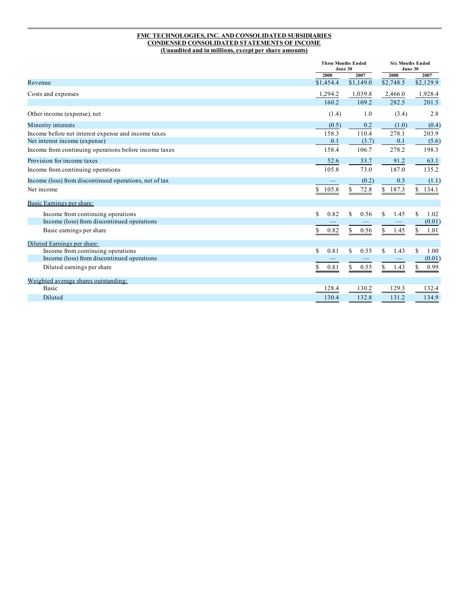## **FMC TECHNOLOGIES, INC. AND CONSOLIDATED SUBSIDIARIES CONDENSED CONSOLIDATED STATEMENTS OF INCOME (Unaudited and in millions, except per share amounts)**

|                                                        |             | <b>Three Months Ended</b><br>June 30 |                       | <b>Six Months Ended</b><br>June 30 |  |
|--------------------------------------------------------|-------------|--------------------------------------|-----------------------|------------------------------------|--|
|                                                        | 2008        | 2007                                 | 2008                  | 2007                               |  |
| Revenue                                                | \$1,454.4   | \$1,149.0                            | \$2,748.5             | \$2,129.9                          |  |
| Costs and expenses                                     | 1,294.2     | 1,039.8                              | 2,466.0               | 1,928.4                            |  |
|                                                        | 160.2       | 109.2                                | 282.5                 | 201.5                              |  |
| Other income (expense), net                            | (1.4)       | 1.0                                  | (3.4)                 | 2.8                                |  |
| Minority interests                                     | (0.5)       | 0.2                                  | (1.0)                 | (0.4)                              |  |
| Income before net interest expense and income taxes    | 158.3       | 110.4                                | 278.1                 | 203.9                              |  |
| Net interest income (expense)                          | 0.1         | (3.7)                                | 0.1                   | (5.6)                              |  |
| Income from continuing operations before income taxes  | 158.4       | 106.7                                | 278.2                 | 198.3                              |  |
| Provision for income taxes                             | 52.6        | 33.7                                 | 91.2                  | 63.1                               |  |
| Income from continuing operations                      | 105.8       | 73.0                                 | 187.0                 | 135.2                              |  |
| Income (loss) from discontinued operations, net of tax |             | (0.2)                                | 0.3                   | (1.1)                              |  |
| Net income                                             | 105.8<br>\$ | 72.8<br>\$                           | \$187.3               | \$134.1                            |  |
| Basic Earnings per share:                              |             |                                      |                       |                                    |  |
| Income from continuing operations                      | S.<br>0.82  | \$<br>0.56                           | <sup>\$</sup><br>1.45 | \$<br>1.02                         |  |
| Income (loss) from discontinued operations             |             |                                      |                       | (0.01)                             |  |
| Basic earnings per share                               | 0.82<br>\$  | S.<br>0.56                           | 1.45<br>S.            | S.<br>1.01                         |  |
| Diluted Earnings per share:                            |             |                                      |                       |                                    |  |
| Income from continuing operations                      | \$<br>0.81  | 0.55<br>\$                           | \$<br>1.43            | S<br>1.00                          |  |
| Income (loss) from discontinued operations             |             |                                      |                       | (0.01)                             |  |
| Diluted earnings per share                             | 0.81<br>\$  | 0.55<br>\$                           | 1.43<br>S.            | 0.99<br>\$                         |  |
| Weighted average shares outstanding:                   |             |                                      |                       |                                    |  |
| Basic                                                  | 128.4       | 130.2                                | 129.3                 | 132.4                              |  |
| Diluted                                                | 130.4       | 132.8                                | 131.2                 | 134.9                              |  |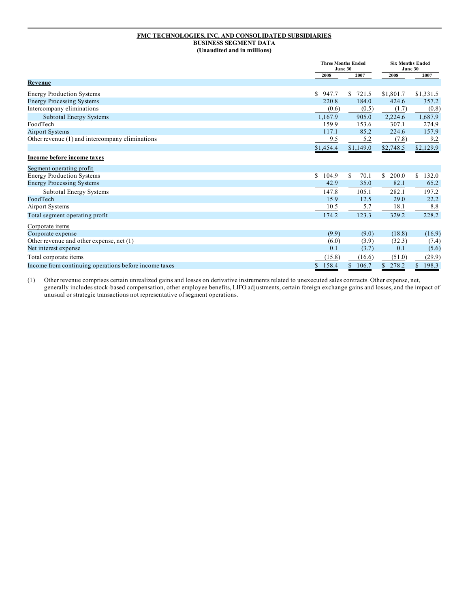#### **FMC TECHNOLOGIES, INC. AND CONSOLIDATED SUBSIDIARIES BUSINESS SEGMENT DATA (Unaudited and in millions)**

|                                                       |              | <b>Three Months Ended</b><br>June 30 |             | <b>Six Months Ended</b><br>June 30 |  |
|-------------------------------------------------------|--------------|--------------------------------------|-------------|------------------------------------|--|
|                                                       | 2008         | 2007                                 | 2008        | 2007                               |  |
| <b>Revenue</b>                                        |              |                                      |             |                                    |  |
| <b>Energy Production Systems</b>                      | S<br>947.7   | 721.5<br>S.                          | \$1,801.7   | \$1,331.5                          |  |
| <b>Energy Processing Systems</b>                      | 220.8        | 184.0                                | 424.6       | 357.2                              |  |
| Intercompany eliminations                             | (0.6)        | (0.5)                                | (1.7)       | (0.8)                              |  |
| Subtotal Energy Systems                               | 1.167.9      | 905.0                                | 2,224.6     | 1,687.9                            |  |
| FoodTech                                              | 159.9        | 153.6                                | 307.1       | 274.9                              |  |
| <b>Airport Systems</b>                                | 117.1        | 85.2                                 | 224.6       | 157.9                              |  |
| Other revenue (1) and intercompany eliminations       | 9.5          | 5.2                                  | (7.8)       | 9.2                                |  |
|                                                       | \$1,454.4    | \$1,149.0                            | \$2,748.5   | \$2,129.9                          |  |
| Income before income taxes                            |              |                                      |             |                                    |  |
| Segment operating profit                              |              |                                      |             |                                    |  |
| <b>Energy Production Systems</b>                      | 104.9<br>\$. | \$<br>70.1                           | 200.0<br>\$ | 132.0<br>\$                        |  |
| <b>Energy Processing Systems</b>                      | 42.9         | 35.0                                 | 82.1        | 65.2                               |  |
| Subtotal Energy Systems                               | 147.8        | 105.1                                | 282.1       | 197.2                              |  |
| FoodTech                                              | 15.9         | 12.5                                 | 29.0        | 22.2                               |  |
| <b>Airport Systems</b>                                | 10.5         | 5.7                                  | 18.1        | 8.8                                |  |
| Total segment operating profit                        | 174.2        | 123.3                                | 329.2       | 228.2                              |  |
| Corporate items                                       |              |                                      |             |                                    |  |
| Corporate expense                                     | (9.9)        | (9.0)                                | (18.8)      | (16.9)                             |  |
| Other revenue and other expense, net (1)              | (6.0)        | (3.9)                                | (32.3)      | (7.4)                              |  |
| Net interest expense                                  | 0.1          | (3.7)                                | 0.1         | (5.6)                              |  |
| Total corporate items                                 | (15.8)       | (16.6)                               | (51.0)      | (29.9)                             |  |
| Income from continuing operations before income taxes | 158.4<br>\$  | 106.7<br>\$                          | 278.2<br>\$ | 198.3<br>\$                        |  |

(1) Other revenue comprises certain unrealized gains and losses on derivative instruments related to unexecuted sales contracts. Other expense, net, generally includes stock-based compensation, other employee benefits, LIFO adjustments, certain foreign exchange gains and losses, and the impact of unusual or strategic transactions not representative of segment operations.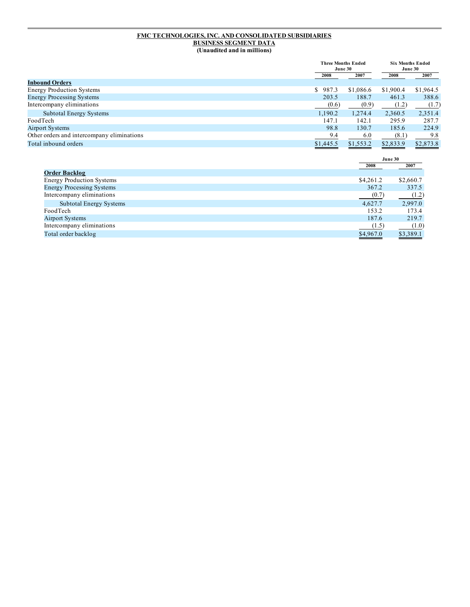#### **FMC TECHNOLOGIES, INC. AND CONSOLIDATED SUBSIDIARIES BUSINESS SEGMENT DATA (Unaudited and in millions)**

|                                            |           | <b>Three Months Ended</b><br>June 30 |           | <b>Six Months Ended</b><br>June 30 |  |
|--------------------------------------------|-----------|--------------------------------------|-----------|------------------------------------|--|
|                                            | 2008      | 2007                                 | 2008      | 2007                               |  |
| <b>Inbound Orders</b>                      |           |                                      |           |                                    |  |
| <b>Energy Production Systems</b>           | \$987.3   | \$1,086.6                            | \$1,900.4 | \$1,964.5                          |  |
| <b>Energy Processing Systems</b>           | 203.5     | 188.7                                | 461.3     | 388.6                              |  |
| Intercompany eliminations                  | (0.6)     | (0.9)                                | (1.2)     | (1.7)                              |  |
| <b>Subtotal Energy Systems</b>             | 1,190.2   | 1.274.4                              | 2,360.5   | 2,351.4                            |  |
| FoodTech                                   | 147.1     | 142.1                                | 295.9     | 287.7                              |  |
| <b>Airport Systems</b>                     | 98.8      | 130.7                                | 185.6     | 224.9                              |  |
| Other orders and intercompany eliminations | 9.4       | 6.0                                  | (8.1)     | 9.8                                |  |
| Total inbound orders                       | \$1,445.5 | \$1,553.2                            | \$2,833.9 | \$2,873.8                          |  |

|                                  |           | June 30   |
|----------------------------------|-----------|-----------|
|                                  | 2008      | 2007      |
| <b>Order Backlog</b>             |           |           |
| <b>Energy Production Systems</b> | \$4,261.2 | \$2,660.7 |
| <b>Energy Processing Systems</b> | 367.2     | 337.5     |
| Intercompany eliminations        | (0.7)     | (1.2)     |
| <b>Subtotal Energy Systems</b>   | 4,627.7   | 2,997.0   |
| FoodTech                         | 153.2     | 173.4     |
| <b>Airport Systems</b>           | 187.6     | 219.7     |
| Intercompany eliminations        | (1.5)     | (1.0)     |
| Total order backlog              | \$4,967.0 | \$3,389.1 |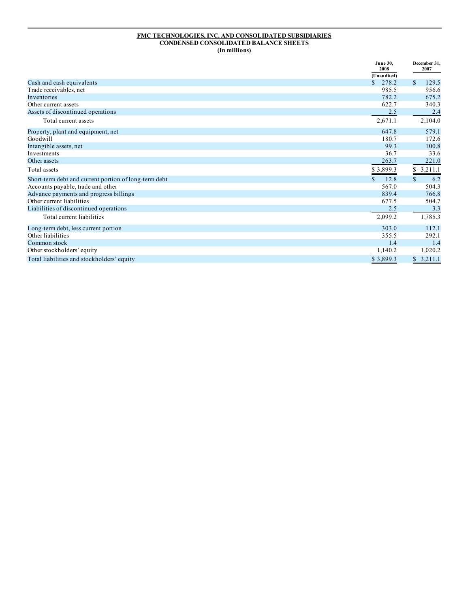#### **FMC TECHNOLOGIES, INC. AND CONSOLIDATED SUBSIDIARIES CONDENSED CONSOLIDATED BALANCE SHEETS (In millions)**

|                                                       | <b>June 30,</b><br>2008 | December 31,<br>2007 |
|-------------------------------------------------------|-------------------------|----------------------|
|                                                       | (Unaudited)             |                      |
| Cash and cash equivalents                             | 278.2<br>S.             | \$<br>129.5          |
| Trade receivables, net                                | 985.5                   | 956.6                |
| Inventories                                           | 782.2                   | 675.2                |
| Other current assets                                  | 622.7                   | 340.3                |
| Assets of discontinued operations                     | 2.5                     | 2.4                  |
| Total current assets                                  | 2,671.1                 | 2,104.0              |
| Property, plant and equipment, net                    | 647.8                   | 579.1                |
| Goodwill                                              | 180.7                   | 172.6                |
| Intangible assets, net                                | 99.3                    | 100.8                |
| Investments                                           | 36.7                    | 33.6                 |
| Other assets                                          | 263.7                   | 221.0                |
| Total assets                                          | \$3,899.3               | 3,211.1              |
| Short-term debt and current portion of long-term debt | 12.8<br>$\mathcal{S}$   | $\mathbb{S}$<br>6.2  |
| Accounts payable, trade and other                     | 567.0                   | 504.3                |
| Advance payments and progress billings                | 839.4                   | 766.8                |
| Other current liabilities                             | 677.5                   | 504.7                |
| Liabilities of discontinued operations                | 2.5                     | 3.3                  |
| Total current liabilities                             | 2,099.2                 | 1,785.3              |
| Long-term debt, less current portion                  | 303.0                   | 112.1                |
| Other liabilities                                     | 355.5                   | 292.1                |
| Common stock                                          | 1.4                     | 1.4                  |
| Other stockholders' equity                            | 1,140.2                 | 1,020.2              |
| Total liabilities and stockholders' equity            | \$3,899.3               | \$3,211.1            |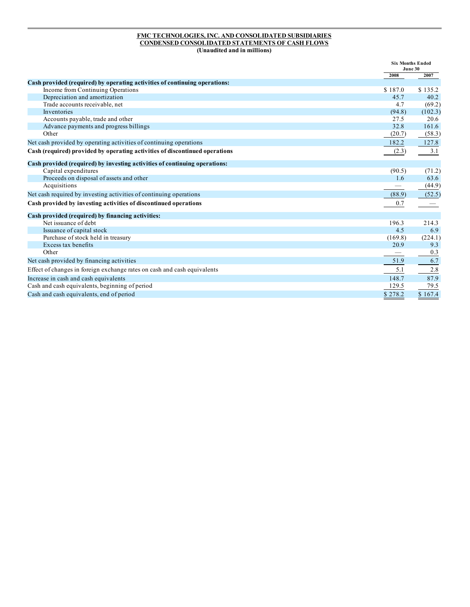#### **FMC TECHNOLOGIES, INC. AND CONSOLIDATED SUBSIDIARIES CONDENSED CONSOLIDATED STATEMENTS OF CASH FLOWS (Unaudited and in millions)**

|                                                                             |         | <b>Six Months Ended</b><br>June 30 |  |
|-----------------------------------------------------------------------------|---------|------------------------------------|--|
|                                                                             | 2008    | 2007                               |  |
| Cash provided (required) by operating activities of continuing operations:  |         |                                    |  |
| Income from Continuing Operations                                           | \$187.0 | \$135.2                            |  |
| Depreciation and amortization                                               | 45.7    | 40.2                               |  |
| Trade accounts receivable, net                                              | 4.7     | (69.2)                             |  |
| Inventories                                                                 | (94.8)  | (102.3)                            |  |
| Accounts payable, trade and other                                           | 27.5    | 20.6                               |  |
| Advance payments and progress billings                                      | 32.8    | 161.6                              |  |
| Other                                                                       | (20.7)  | (58.3)                             |  |
| Net cash provided by operating activities of continuing operations          | 182.2   | 127.8                              |  |
| Cash (required) provided by operating activities of discontinued operations | (2.3)   | 3.1                                |  |
| Cash provided (required) by investing activities of continuing operations:  |         |                                    |  |
| Capital expenditures                                                        | (90.5)  | (71.2)                             |  |
| Proceeds on disposal of assets and other                                    | 1.6     | 63.6                               |  |
| Acquisitions                                                                |         | (44.9)                             |  |
| Net cash required by investing activities of continuing operations          | (88.9)  | (52.5)                             |  |
| Cash provided by investing activities of discontinued operations            | 0.7     |                                    |  |
| Cash provided (required) by financing activities:                           |         |                                    |  |
| Net issuance of debt                                                        | 196.3   | 214.3                              |  |
| Issuance of capital stock                                                   | 4.5     | 6.9                                |  |
| Purchase of stock held in treasury                                          | (169.8) | (224.1)                            |  |
| Excess tax benefits                                                         | 20.9    | 9.3                                |  |
| Other                                                                       |         | 0.3                                |  |
| Net cash provided by financing activities                                   | 51.9    | 6.7                                |  |
| Effect of changes in foreign exchange rates on cash and cash equivalents    | 5.1     | $2.8\,$                            |  |
| Increase in cash and cash equivalents                                       | 148.7   | 87.9                               |  |
| Cash and cash equivalents, beginning of period                              | 129.5   | 79.5                               |  |
| Cash and cash equivalents, end of period                                    | \$278.2 | \$167.4                            |  |